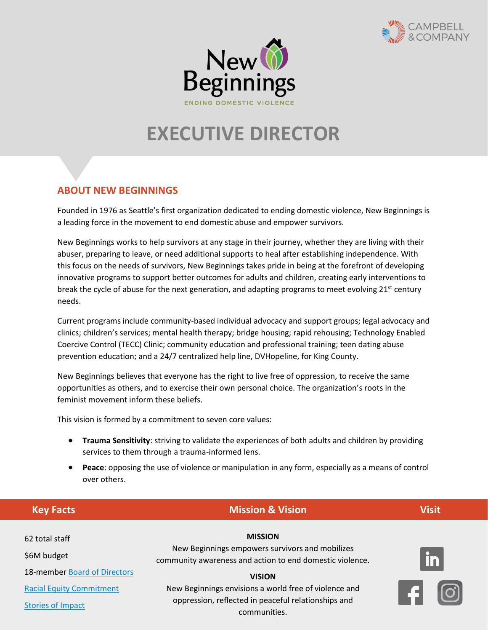



# **EXECUTIVE DIRECTOR**

# **ABOUT NEW BEGINNINGS**

Founded in 1976 as Seattle's first organization dedicated to ending domestic violence, New Beginnings is a leading force in the movement to end domestic abuse and empower survivors.

New Beginnings works to help survivors at any stage in their journey, whether they are living with their abuser, preparing to leave, or need additional supports to heal after establishing independence. With this focus on the needs of survivors, New Beginnings takes pride in being at the forefront of developing innovative programs to support better outcomes for adults and children, creating early interventions to break the cycle of abuse for the next generation, and adapting programs to meet evolving  $21^{st}$  century needs.

Current programs include community-based individual advocacy and support groups; legal advocacy and clinics; children's services; mental health therapy; bridge housing; rapid rehousing; Technology Enabled Coercive Control (TECC) Clinic; community education and professional training; teen dating abuse prevention education; and a 24/7 centralized help line, DVHopeline, for King County.

New Beginnings believes that everyone has the right to live free of oppression, to receive the same opportunities as others, and to exercise their own personal choice. The organization's roots in the feminist movement inform these beliefs.

This vision is formed by a commitment to seven core values:

- **Trauma Sensitivity**: striving to validate the experiences of both adults and children by providing services to them through a trauma-informed lens.
- **Peace**: opposing the use of violence or manipulation in any form, especially as a means of control over others.

| <b>Key Facts</b>                | <b>Mission &amp; Vision</b>                                                                                                                    | <b>Visit</b>  |
|---------------------------------|------------------------------------------------------------------------------------------------------------------------------------------------|---------------|
| 62 total staff<br>\$6M budget   | <b>MISSION</b><br>New Beginnings empowers survivors and mobilizes<br>community awareness and action to end domestic violence.<br><b>VISION</b> | $\mathbf{in}$ |
| 18-member Board of Directors    |                                                                                                                                                |               |
| <b>Racial Equity Commitment</b> | New Beginnings envisions a world free of violence and                                                                                          |               |
| <b>Stories of Impact</b>        | oppression, reflected in peaceful relationships and<br>communities                                                                             |               |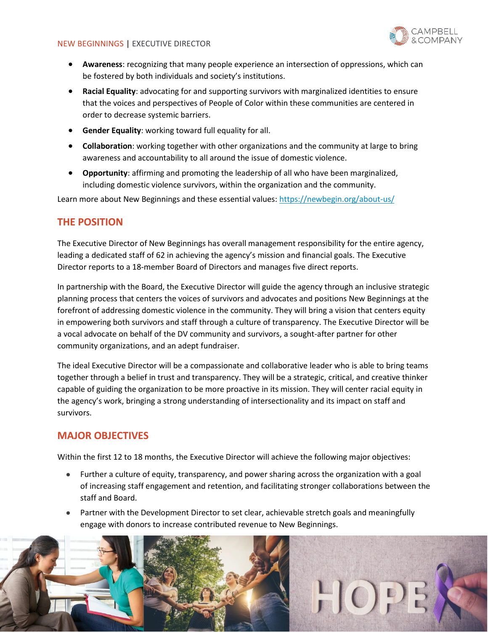

- **Awareness**: recognizing that many people experience an intersection of oppressions, which can be fostered by both individuals and society's institutions.
- **Racial Equality**: advocating for and supporting survivors with marginalized identities to ensure that the voices and perspectives of People of Color within these communities are centered in order to decrease systemic barriers.
- **Gender Equality**: working toward full equality for all.
- **Collaboration**: working together with other organizations and the community at large to bring awareness and accountability to all around the issue of domestic violence.
- **Opportunity**: affirming and promoting the leadership of all who have been marginalized, including domestic violence survivors, within the organization and the community.

Learn more about New Beginnings and these essential values[: https://newbegin.org/about-us/](https://newbegin.org/about-us/)

## **THE POSITION**

The Executive Director of New Beginnings has overall management responsibility for the entire agency, leading a dedicated staff of 62 in achieving the agency's mission and financial goals. The Executive Director reports to a 18-member Board of Directors and manages five direct reports.

In partnership with the Board, the Executive Director will guide the agency through an inclusive strategic planning process that centers the voices of survivors and advocates and positions New Beginnings at the forefront of addressing domestic violence in the community. They will bring a vision that centers equity in empowering both survivors and staff through a culture of transparency. The Executive Director will be a vocal advocate on behalf of the DV community and survivors, a sought-after partner for other community organizations, and an adept fundraiser.

The ideal Executive Director will be a compassionate and collaborative leader who is able to bring teams together through a belief in trust and transparency. They will be a strategic, critical, and creative thinker capable of guiding the organization to be more proactive in its mission. They will center racial equity in the agency's work, bringing a strong understanding of intersectionality and its impact on staff and survivors.

## **MAJOR OBJECTIVES**

Within the first 12 to 18 months, the Executive Director will achieve the following major objectives:

- Further a culture of equity, transparency, and power sharing across the organization with a goal of increasing staff engagement and retention, and facilitating stronger collaborations between the staff and Board.
- Partner with the Development Director to set clear, achievable stretch goals and meaningfully engage with donors to increase contributed revenue to New Beginnings.

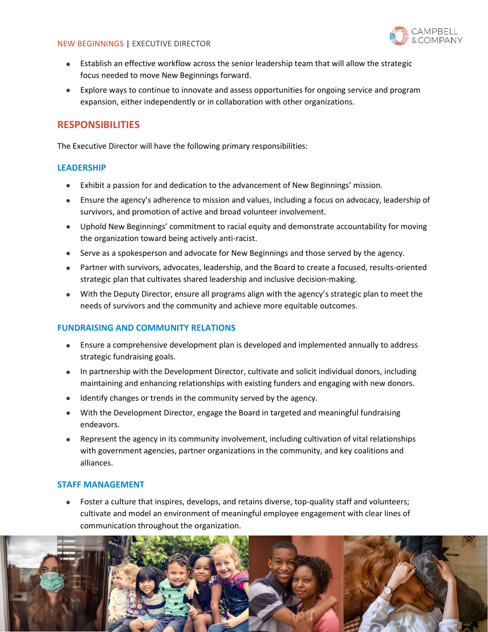

- Establish an effective workflow across the senior leadership team that will allow the strategic focus needed to move New Beginnings forward.
- Explore ways to continue to innovate and assess opportunities for ongoing service and program expansion, either independently or in collaboration with other organizations.

## **RESPONSIBILITIES**

The Executive Director will have the following primary responsibilities:

#### **LEADERSHIP**

- Exhibit a passion for and dedication to the advancement of New Beginnings' mission.
- Ensure the agency's adherence to mission and values, including a focus on advocacy, leadership of survivors, and promotion of active and broad volunteer involvement.
- Uphold New Beginnings' commitment to racial equity and demonstrate accountability for moving the organization toward being actively anti-racist.
- Serve as a spokesperson and advocate for New Beginnings and those served by the agency.
- Partner with survivors, advocates, leadership, and the Board to create a focused, results-oriented strategic plan that cultivates shared leadership and inclusive decision-making.
- With the Deputy Director, ensure all programs align with the agency's strategic plan to meet the needs of survivors and the community and achieve more equitable outcomes.

#### **FUNDRAISING AND COMMUNITY RELATIONS**

- Ensure a comprehensive development plan is developed and implemented annually to address strategic fundraising goals.
- In partnership with the Development Director, cultivate and solicit individual donors, including maintaining and enhancing relationships with existing funders and engaging with new donors.
- Identify changes or trends in the community served by the agency.
- With the Development Director, engage the Board in targeted and meaningful fundraising endeavors.
- Represent the agency in its community involvement, including cultivation of vital relationships with government agencies, partner organizations in the community, and key coalitions and alliances.

#### **STAFF MANAGEMENT**

• Foster a culture that inspires, develops, and retains diverse, top-quality staff and volunteers; cultivate and model an environment of meaningful employee engagement with clear lines of communication throughout the organization.

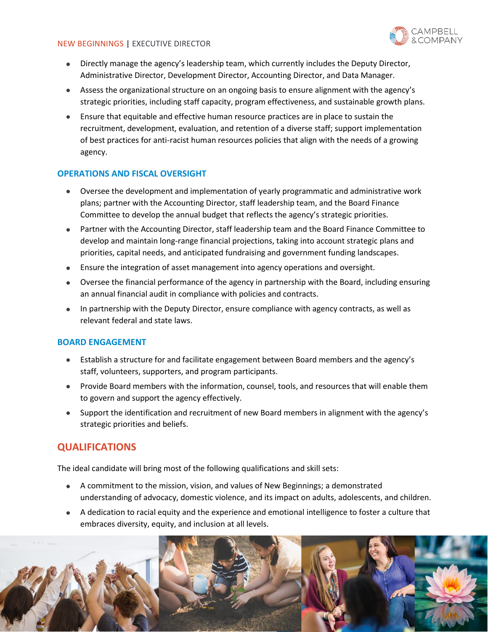

- Directly manage the agency's leadership team, which currently includes the Deputy Director, Administrative Director, Development Director, Accounting Director, and Data Manager.
- Assess the organizational structure on an ongoing basis to ensure alignment with the agency's strategic priorities, including staff capacity, program effectiveness, and sustainable growth plans.
- Ensure that equitable and effective human resource practices are in place to sustain the recruitment, development, evaluation, and retention of a diverse staff; support implementation of best practices for anti-racist human resources policies that align with the needs of a growing agency.

### **OPERATIONS AND FISCAL OVERSIGHT**

- Oversee the development and implementation of yearly programmatic and administrative work plans; partner with the Accounting Director, staff leadership team, and the Board Finance Committee to develop the annual budget that reflects the agency's strategic priorities.
- Partner with the Accounting Director, staff leadership team and the Board Finance Committee to develop and maintain long-range financial projections, taking into account strategic plans and priorities, capital needs, and anticipated fundraising and government funding landscapes.
- Ensure the integration of asset management into agency operations and oversight.
- Oversee the financial performance of the agency in partnership with the Board, including ensuring an annual financial audit in compliance with policies and contracts.
- In partnership with the Deputy Director, ensure compliance with agency contracts, as well as relevant federal and state laws.

#### **BOARD ENGAGEMENT**

- Establish a structure for and facilitate engagement between Board members and the agency's staff, volunteers, supporters, and program participants.
- Provide Board members with the information, counsel, tools, and resources that will enable them to govern and support the agency effectively.
- Support the identification and recruitment of new Board members in alignment with the agency's strategic priorities and beliefs.

## **QUALIFICATIONS**

The ideal candidate will bring most of the following qualifications and skill sets:

- A commitment to the mission, vision, and values of New Beginnings; a demonstrated understanding of advocacy, domestic violence, and its impact on adults, adolescents, and children.
- A dedication to racial equity and the experience and emotional intelligence to foster a culture that embraces diversity, equity, and inclusion at all levels.